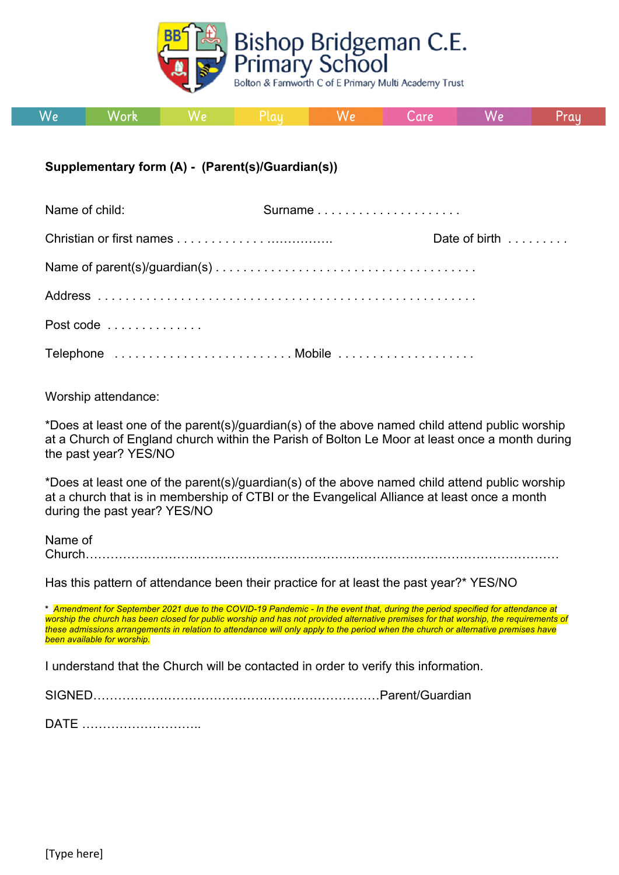

| We | Work |  |  | VV 7 | Lare | W۰ | Pray |
|----|------|--|--|------|------|----|------|
|----|------|--|--|------|------|----|------|

## **Supplementary form (A) - (Parent(s)/Guardian(s))**

| Name of child: | Surname |               |
|----------------|---------|---------------|
|                |         | Date of birth |
|                |         |               |
|                |         |               |
| Post code      |         |               |
|                |         |               |

Worship attendance:

\*Does at least one of the parent(s)/guardian(s) of the above named child attend public worship at a Church of England church within the Parish of Bolton Le Moor at least once a month during the past year? YES/NO

\*Does at least one of the parent(s)/guardian(s) of the above named child attend public worship at a church that is in membership of CTBI or the Evangelical Alliance at least once a month during the past year? YES/NO

Name of Church……………………………………………………………………………………………………

Has this pattern of attendance been their practice for at least the past year?\* YES/NO

**\*** *Amendment for September 2021 due to the COVID-19 Pandemic - In the event that, during the period specified for attendance at worship the church has been closed for public worship and has not provided alternative premises for that worship, the requirements of these admissions arrangements in relation to attendance will only apply to the period when the church or alternative premises have been available for worship.*

I understand that the Church will be contacted in order to verify this information.

SIGNED……………………………………………………………Parent/Guardian

DATE ………………………..